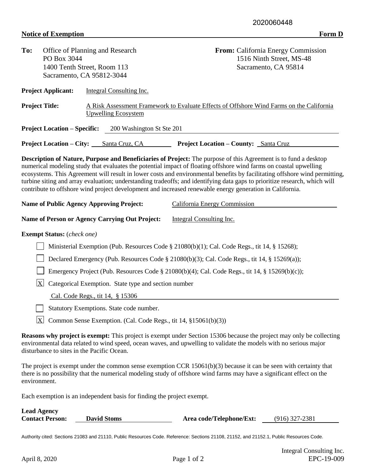## **Notice of Exemption Form D**

| To:                                                                                                                                                                                                                                                        | PO Box 3044                                                                                  | Office of Planning and Research<br>1400 Tenth Street, Room 113<br>Sacramento, CA 95812-3044 | From: California Energy Commission<br>1516 Ninth Street, MS-48<br>Sacramento, CA 95814                                                                                                                                                                                                                                                                                                                                                                                                                                                                                                                       |  |  |  |  |
|------------------------------------------------------------------------------------------------------------------------------------------------------------------------------------------------------------------------------------------------------------|----------------------------------------------------------------------------------------------|---------------------------------------------------------------------------------------------|--------------------------------------------------------------------------------------------------------------------------------------------------------------------------------------------------------------------------------------------------------------------------------------------------------------------------------------------------------------------------------------------------------------------------------------------------------------------------------------------------------------------------------------------------------------------------------------------------------------|--|--|--|--|
|                                                                                                                                                                                                                                                            | <b>Project Applicant:</b>                                                                    | Integral Consulting Inc.                                                                    |                                                                                                                                                                                                                                                                                                                                                                                                                                                                                                                                                                                                              |  |  |  |  |
| <b>Project Title:</b>                                                                                                                                                                                                                                      |                                                                                              | <b>Upwelling Ecosystem</b>                                                                  | A Risk Assessment Framework to Evaluate Effects of Offshore Wind Farms on the California                                                                                                                                                                                                                                                                                                                                                                                                                                                                                                                     |  |  |  |  |
|                                                                                                                                                                                                                                                            | <b>Project Location – Specific:</b>                                                          | 200 Washington St Ste 201                                                                   |                                                                                                                                                                                                                                                                                                                                                                                                                                                                                                                                                                                                              |  |  |  |  |
|                                                                                                                                                                                                                                                            | <b>Project Location – City:</b>                                                              | Santa Cruz, CA                                                                              | <b>Project Location – County:</b> Santa Cruz                                                                                                                                                                                                                                                                                                                                                                                                                                                                                                                                                                 |  |  |  |  |
|                                                                                                                                                                                                                                                            |                                                                                              |                                                                                             | Description of Nature, Purpose and Beneficiaries of Project: The purpose of this Agreement is to fund a desktop<br>numerical modeling study that evaluates the potential impact of floating offshore wind farms on coastal upwelling<br>ecosystems. This Agreement will result in lower costs and environmental benefits by facilitating offshore wind permitting,<br>turbine siting and array evaluation; understanding tradeoffs; and identifying data gaps to prioritize research, which will<br>contribute to offshore wind project development and increased renewable energy generation in California. |  |  |  |  |
|                                                                                                                                                                                                                                                            |                                                                                              | <b>Name of Public Agency Approving Project:</b>                                             | California Energy Commission                                                                                                                                                                                                                                                                                                                                                                                                                                                                                                                                                                                 |  |  |  |  |
|                                                                                                                                                                                                                                                            |                                                                                              | <b>Name of Person or Agency Carrying Out Project:</b>                                       | Integral Consulting Inc.                                                                                                                                                                                                                                                                                                                                                                                                                                                                                                                                                                                     |  |  |  |  |
|                                                                                                                                                                                                                                                            | <b>Exempt Status:</b> (check one)                                                            |                                                                                             |                                                                                                                                                                                                                                                                                                                                                                                                                                                                                                                                                                                                              |  |  |  |  |
|                                                                                                                                                                                                                                                            | Ministerial Exemption (Pub. Resources Code § 21080(b)(1); Cal. Code Regs., tit 14, § 15268); |                                                                                             |                                                                                                                                                                                                                                                                                                                                                                                                                                                                                                                                                                                                              |  |  |  |  |
|                                                                                                                                                                                                                                                            |                                                                                              |                                                                                             | Declared Emergency (Pub. Resources Code § 21080(b)(3); Cal. Code Regs., tit 14, § 15269(a));                                                                                                                                                                                                                                                                                                                                                                                                                                                                                                                 |  |  |  |  |
| Emergency Project (Pub. Resources Code § 21080(b)(4); Cal. Code Regs., tit 14, § 15269(b)(c));                                                                                                                                                             |                                                                                              |                                                                                             |                                                                                                                                                                                                                                                                                                                                                                                                                                                                                                                                                                                                              |  |  |  |  |
| $\overline{\mathrm{X}}$<br>Categorical Exemption. State type and section number                                                                                                                                                                            |                                                                                              |                                                                                             |                                                                                                                                                                                                                                                                                                                                                                                                                                                                                                                                                                                                              |  |  |  |  |
| Cal. Code Regs., tit 14, § 15306                                                                                                                                                                                                                           |                                                                                              |                                                                                             |                                                                                                                                                                                                                                                                                                                                                                                                                                                                                                                                                                                                              |  |  |  |  |
|                                                                                                                                                                                                                                                            |                                                                                              | Statutory Exemptions. State code number.                                                    |                                                                                                                                                                                                                                                                                                                                                                                                                                                                                                                                                                                                              |  |  |  |  |
|                                                                                                                                                                                                                                                            |                                                                                              | $X$ Common Sense Exemption. (Cal. Code Regs., tit 14, §15061(b)(3))                         |                                                                                                                                                                                                                                                                                                                                                                                                                                                                                                                                                                                                              |  |  |  |  |
|                                                                                                                                                                                                                                                            |                                                                                              | disturbance to sites in the Pacific Ocean.                                                  | <b>Reasons why project is exempt:</b> This project is exempt under Section 15306 because the project may only be collecting<br>environmental data related to wind speed, ocean waves, and upwelling to validate the models with no serious major                                                                                                                                                                                                                                                                                                                                                             |  |  |  |  |
| The project is exempt under the common sense exemption CCR 15061(b)(3) because it can be seen with certainty that<br>there is no possibility that the numerical modeling study of offshore wind farms may have a significant effect on the<br>environment. |                                                                                              |                                                                                             |                                                                                                                                                                                                                                                                                                                                                                                                                                                                                                                                                                                                              |  |  |  |  |

Each exemption is an independent basis for finding the project exempt.

| <b>Lead Agency</b>     |                    |                          |                  |
|------------------------|--------------------|--------------------------|------------------|
| <b>Contact Person:</b> | <b>David Stoms</b> | Area code/Telephone/Ext: | $(916)$ 327-2381 |

Authority cited: Sections 21083 and 21110, Public Resources Code. Reference: Sections 21108, 21152, and 21152.1, Public Resources Code.